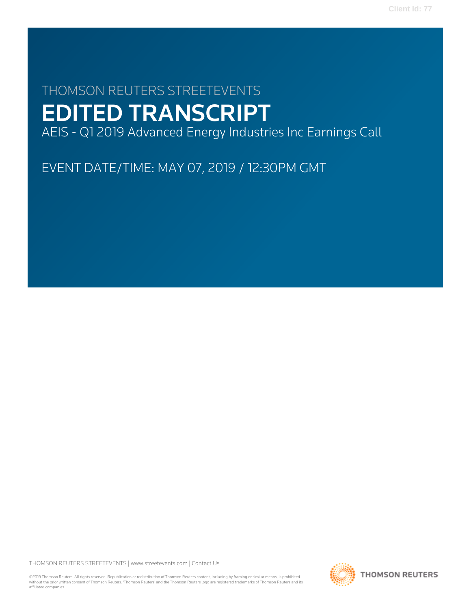# THOMSON REUTERS STREETEVENTS EDITED TRANSCRIPT

AEIS - Q1 2019 Advanced Energy Industries Inc Earnings Call

EVENT DATE/TIME: MAY 07, 2019 / 12:30PM GMT

THOMSON REUTERS STREETEVENTS | [www.streetevents.com](http://www.streetevents.com) | [Contact Us](http://www010.streetevents.com/contact.asp)

©2019 Thomson Reuters. All rights reserved. Republication or redistribution of Thomson Reuters content, including by framing or similar means, is prohibited without the prior written consent of Thomson Reuters. 'Thomson Reuters' and the Thomson Reuters logo are registered trademarks of Thomson Reuters and its affiliated companies.

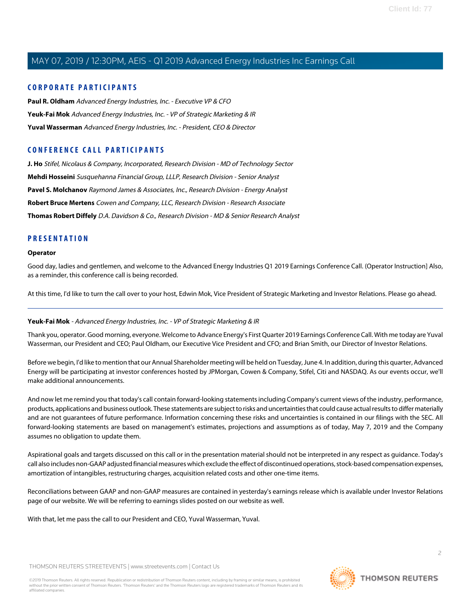#### **CORPORATE PARTICIPANTS**

**[Paul R. Oldham](#page-3-0)** Advanced Energy Industries, Inc. - Executive VP & CFO **[Yeuk-Fai Mok](#page-1-0)** Advanced Energy Industries, Inc. - VP of Strategic Marketing & IR **[Yuval Wasserman](#page-2-0)** Advanced Energy Industries, Inc. - President, CEO & Director

### **CONFERENCE CALL PARTICIPANTS**

**[J. Ho](#page-6-0)** Stifel, Nicolaus & Company, Incorporated, Research Division - MD of Technology Sector **[Mehdi Hosseini](#page-8-0)** Susquehanna Financial Group, LLLP, Research Division - Senior Analyst **[Pavel S. Molchanov](#page-9-0)** Raymond James & Associates, Inc., Research Division - Energy Analyst **[Robert Bruce Mertens](#page-7-0)** Cowen and Company, LLC, Research Division - Research Associate **[Thomas Robert Diffely](#page-5-0)** D.A. Davidson & Co., Research Division - MD & Senior Research Analyst

#### **PRESENTATION**

#### **Operator**

Good day, ladies and gentlemen, and welcome to the Advanced Energy Industries Q1 2019 Earnings Conference Call. (Operator Instruction] Also, as a reminder, this conference call is being recorded.

<span id="page-1-0"></span>At this time, I'd like to turn the call over to your host, Edwin Mok, Vice President of Strategic Marketing and Investor Relations. Please go ahead.

#### **Yeuk-Fai Mok** - Advanced Energy Industries, Inc. - VP of Strategic Marketing & IR

Thank you, operator. Good morning, everyone. Welcome to Advance Energy's First Quarter 2019 Earnings Conference Call. With me today are Yuval Wasserman, our President and CEO; Paul Oldham, our Executive Vice President and CFO; and Brian Smith, our Director of Investor Relations.

Before we begin, I'd like to mention that our Annual Shareholder meeting will be held on Tuesday, June 4. In addition, during this quarter, Advanced Energy will be participating at investor conferences hosted by JPMorgan, Cowen & Company, Stifel, Citi and NASDAQ. As our events occur, we'll make additional announcements.

And now let me remind you that today's call contain forward-looking statements including Company's current views of the industry, performance, products, applications and business outlook. These statements are subject to risks and uncertainties that could cause actual results to differ materially and are not guarantees of future performance. Information concerning these risks and uncertainties is contained in our filings with the SEC. All forward-looking statements are based on management's estimates, projections and assumptions as of today, May 7, 2019 and the Company assumes no obligation to update them.

Aspirational goals and targets discussed on this call or in the presentation material should not be interpreted in any respect as guidance. Today's call also includes non-GAAP adjusted financial measures which exclude the effect of discontinued operations, stock-based compensation expenses, amortization of intangibles, restructuring charges, acquisition related costs and other one-time items.

Reconciliations between GAAP and non-GAAP measures are contained in yesterday's earnings release which is available under Investor Relations page of our website. We will be referring to earnings slides posted on our website as well.

With that, let me pass the call to our President and CEO, Yuval Wasserman, Yuval.

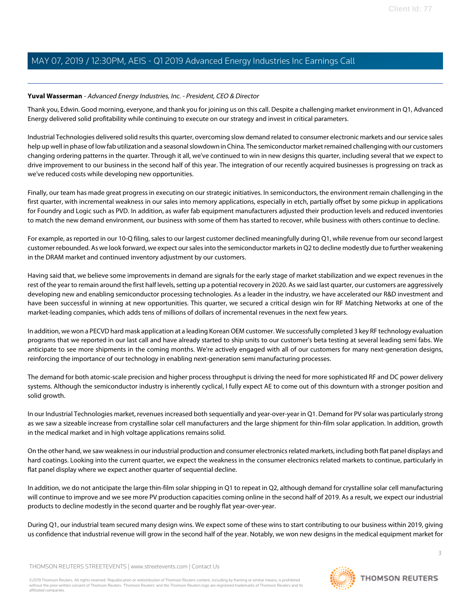#### <span id="page-2-0"></span>**Yuval Wasserman** - Advanced Energy Industries, Inc. - President, CEO & Director

Thank you, Edwin. Good morning, everyone, and thank you for joining us on this call. Despite a challenging market environment in Q1, Advanced Energy delivered solid profitability while continuing to execute on our strategy and invest in critical parameters.

Industrial Technologies delivered solid results this quarter, overcoming slow demand related to consumer electronic markets and our service sales help up well in phase of low fab utilization and a seasonal slowdown in China. The semiconductor market remained challenging with our customers changing ordering patterns in the quarter. Through it all, we've continued to win in new designs this quarter, including several that we expect to drive improvement to our business in the second half of this year. The integration of our recently acquired businesses is progressing on track as we've reduced costs while developing new opportunities.

Finally, our team has made great progress in executing on our strategic initiatives. In semiconductors, the environment remain challenging in the first quarter, with incremental weakness in our sales into memory applications, especially in etch, partially offset by some pickup in applications for Foundry and Logic such as PVD. In addition, as wafer fab equipment manufacturers adjusted their production levels and reduced inventories to match the new demand environment, our business with some of them has started to recover, while business with others continue to decline.

For example, as reported in our 10-Q filing, sales to our largest customer declined meaningfully during Q1, while revenue from our second largest customer rebounded. As we look forward, we expect our sales into the semiconductor markets in Q2 to decline modestly due to further weakening in the DRAM market and continued inventory adjustment by our customers.

Having said that, we believe some improvements in demand are signals for the early stage of market stabilization and we expect revenues in the rest of the year to remain around the first half levels, setting up a potential recovery in 2020. As we said last quarter, our customers are aggressively developing new and enabling semiconductor processing technologies. As a leader in the industry, we have accelerated our R&D investment and have been successful in winning at new opportunities. This quarter, we secured a critical design win for RF Matching Networks at one of the market-leading companies, which adds tens of millions of dollars of incremental revenues in the next few years.

In addition, we won a PECVD hard mask application at a leading Korean OEM customer. We successfully completed 3 key RF technology evaluation programs that we reported in our last call and have already started to ship units to our customer's beta testing at several leading semi fabs. We anticipate to see more shipments in the coming months. We're actively engaged with all of our customers for many next-generation designs, reinforcing the importance of our technology in enabling next-generation semi manufacturing processes.

The demand for both atomic-scale precision and higher process throughput is driving the need for more sophisticated RF and DC power delivery systems. Although the semiconductor industry is inherently cyclical, I fully expect AE to come out of this downturn with a stronger position and solid growth.

In our Industrial Technologies market, revenues increased both sequentially and year-over-year in Q1. Demand for PV solar was particularly strong as we saw a sizeable increase from crystalline solar cell manufacturers and the large shipment for thin-film solar application. In addition, growth in the medical market and in high voltage applications remains solid.

On the other hand, we saw weakness in our industrial production and consumer electronics related markets, including both flat panel displays and hard coatings. Looking into the current quarter, we expect the weakness in the consumer electronics related markets to continue, particularly in flat panel display where we expect another quarter of sequential decline.

In addition, we do not anticipate the large thin-film solar shipping in Q1 to repeat in Q2, although demand for crystalline solar cell manufacturing will continue to improve and we see more PV production capacities coming online in the second half of 2019. As a result, we expect our industrial products to decline modestly in the second quarter and be roughly flat year-over-year.

During Q1, our industrial team secured many design wins. We expect some of these wins to start contributing to our business within 2019, giving us confidence that industrial revenue will grow in the second half of the year. Notably, we won new designs in the medical equipment market for

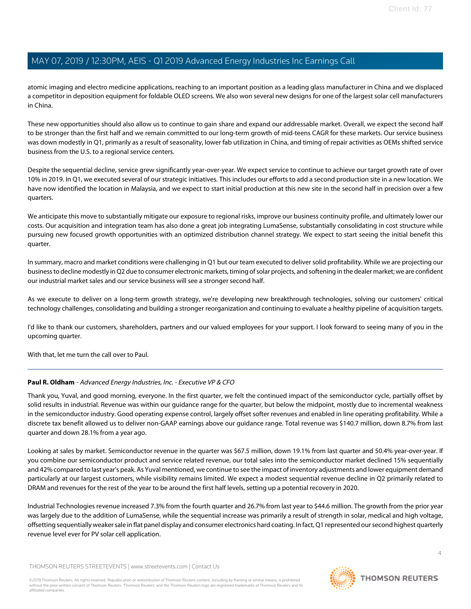atomic imaging and electro medicine applications, reaching to an important position as a leading glass manufacturer in China and we displaced a competitor in deposition equipment for foldable OLED screens. We also won several new designs for one of the largest solar cell manufacturers in China.

These new opportunities should also allow us to continue to gain share and expand our addressable market. Overall, we expect the second half to be stronger than the first half and we remain committed to our long-term growth of mid-teens CAGR for these markets. Our service business was down modestly in Q1, primarily as a result of seasonality, lower fab utilization in China, and timing of repair activities as OEMs shifted service business from the U.S. to a regional service centers.

Despite the sequential decline, service grew significantly year-over-year. We expect service to continue to achieve our target growth rate of over 10% in 2019. In Q1, we executed several of our strategic initiatives. This includes our efforts to add a second production site in a new location. We have now identified the location in Malaysia, and we expect to start initial production at this new site in the second half in precision over a few quarters.

We anticipate this move to substantially mitigate our exposure to regional risks, improve our business continuity profile, and ultimately lower our costs. Our acquisition and integration team has also done a great job integrating LumaSense, substantially consolidating in cost structure while pursuing new focused growth opportunities with an optimized distribution channel strategy. We expect to start seeing the initial benefit this quarter.

In summary, macro and market conditions were challenging in Q1 but our team executed to deliver solid profitability. While we are projecting our business to decline modestly in Q2 due to consumer electronic markets, timing of solar projects, and softening in the dealer market; we are confident our industrial market sales and our service business will see a stronger second half.

As we execute to deliver on a long-term growth strategy, we're developing new breakthrough technologies, solving our customers' critical technology challenges, consolidating and building a stronger reorganization and continuing to evaluate a healthy pipeline of acquisition targets.

I'd like to thank our customers, shareholders, partners and our valued employees for your support. I look forward to seeing many of you in the upcoming quarter.

<span id="page-3-0"></span>With that, let me turn the call over to Paul.

#### **Paul R. Oldham** - Advanced Energy Industries, Inc. - Executive VP & CFO

Thank you, Yuval, and good morning, everyone. In the first quarter, we felt the continued impact of the semiconductor cycle, partially offset by solid results in industrial. Revenue was within our guidance range for the quarter, but below the midpoint, mostly due to incremental weakness in the semiconductor industry. Good operating expense control, largely offset softer revenues and enabled in line operating profitability. While a discrete tax benefit allowed us to deliver non-GAAP earnings above our guidance range. Total revenue was \$140.7 million, down 8.7% from last quarter and down 28.1% from a year ago.

Looking at sales by market. Semiconductor revenue in the quarter was \$67.5 million, down 19.1% from last quarter and 50.4% year-over-year. If you combine our semiconductor product and service related revenue, our total sales into the semiconductor market declined 15% sequentially and 42% compared to last year's peak. As Yuval mentioned, we continue to see the impact of inventory adjustments and lower equipment demand particularly at our largest customers, while visibility remains limited. We expect a modest sequential revenue decline in Q2 primarily related to DRAM and revenues for the rest of the year to be around the first half levels, setting up a potential recovery in 2020.

Industrial Technologies revenue increased 7.3% from the fourth quarter and 26.7% from last year to \$44.6 million. The growth from the prior year was largely due to the addition of LumaSense, while the sequential increase was primarily a result of strength in solar, medical and high voltage, offsetting sequentially weaker sale in flat panel display and consumer electronics hard coating. In fact, Q1 represented our second highest quarterly revenue level ever for PV solar cell application.

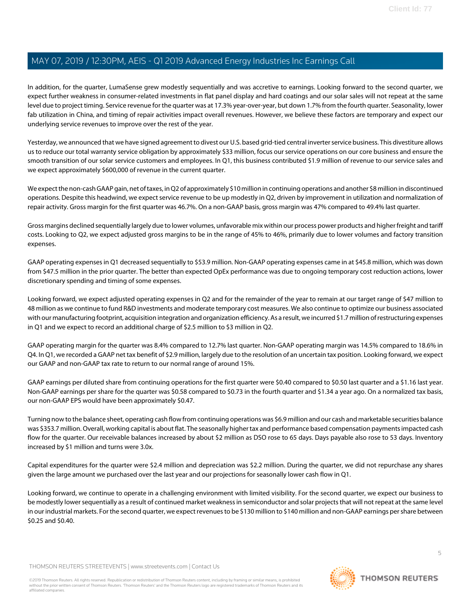In addition, for the quarter, LumaSense grew modestly sequentially and was accretive to earnings. Looking forward to the second quarter, we expect further weakness in consumer-related investments in flat panel display and hard coatings and our solar sales will not repeat at the same level due to project timing. Service revenue for the quarter was at 17.3% year-over-year, but down 1.7% from the fourth quarter. Seasonality, lower fab utilization in China, and timing of repair activities impact overall revenues. However, we believe these factors are temporary and expect our underlying service revenues to improve over the rest of the year.

Yesterday, we announced that we have signed agreement to divest our U.S. based grid-tied central inverter service business. This divestiture allows us to reduce our total warranty service obligation by approximately \$33 million, focus our service operations on our core business and ensure the smooth transition of our solar service customers and employees. In Q1, this business contributed \$1.9 million of revenue to our service sales and we expect approximately \$600,000 of revenue in the current quarter.

We expect the non-cash GAAP gain, net of taxes, in Q2 of approximately \$10 million in continuing operations and another \$8 million in discontinued operations. Despite this headwind, we expect service revenue to be up modestly in Q2, driven by improvement in utilization and normalization of repair activity. Gross margin for the first quarter was 46.7%. On a non-GAAP basis, gross margin was 47% compared to 49.4% last quarter.

Gross margins declined sequentially largely due to lower volumes, unfavorable mix within our process power products and higher freight and tariff costs. Looking to Q2, we expect adjusted gross margins to be in the range of 45% to 46%, primarily due to lower volumes and factory transition expenses.

GAAP operating expenses in Q1 decreased sequentially to \$53.9 million. Non-GAAP operating expenses came in at \$45.8 million, which was down from \$47.5 million in the prior quarter. The better than expected OpEx performance was due to ongoing temporary cost reduction actions, lower discretionary spending and timing of some expenses.

Looking forward, we expect adjusted operating expenses in Q2 and for the remainder of the year to remain at our target range of \$47 million to 48 million as we continue to fund R&D investments and moderate temporary cost measures. We also continue to optimize our business associated with our manufacturing footprint, acquisition integration and organization efficiency. As a result, we incurred \$1.7 million of restructuring expenses in Q1 and we expect to record an additional charge of \$2.5 million to \$3 million in Q2.

GAAP operating margin for the quarter was 8.4% compared to 12.7% last quarter. Non-GAAP operating margin was 14.5% compared to 18.6% in Q4. In Q1, we recorded a GAAP net tax benefit of \$2.9 million, largely due to the resolution of an uncertain tax position. Looking forward, we expect our GAAP and non-GAAP tax rate to return to our normal range of around 15%.

GAAP earnings per diluted share from continuing operations for the first quarter were \$0.40 compared to \$0.50 last quarter and a \$1.16 last year. Non-GAAP earnings per share for the quarter was \$0.58 compared to \$0.73 in the fourth quarter and \$1.34 a year ago. On a normalized tax basis, our non-GAAP EPS would have been approximately \$0.47.

Turning now to the balance sheet, operating cash flow from continuing operations was \$6.9 million and our cash and marketable securities balance was \$353.7 million. Overall, working capital is about flat. The seasonally higher tax and performance based compensation payments impacted cash flow for the quarter. Our receivable balances increased by about \$2 million as DSO rose to 65 days. Days payable also rose to 53 days. Inventory increased by \$1 million and turns were 3.0x.

Capital expenditures for the quarter were \$2.4 million and depreciation was \$2.2 million. During the quarter, we did not repurchase any shares given the large amount we purchased over the last year and our projections for seasonally lower cash flow in Q1.

Looking forward, we continue to operate in a challenging environment with limited visibility. For the second quarter, we expect our business to be modestly lower sequentially as a result of continued market weakness in semiconductor and solar projects that will not repeat at the same level in our industrial markets. For the second quarter, we expect revenues to be \$130 million to \$140 million and non-GAAP earnings per share between \$0.25 and \$0.40.

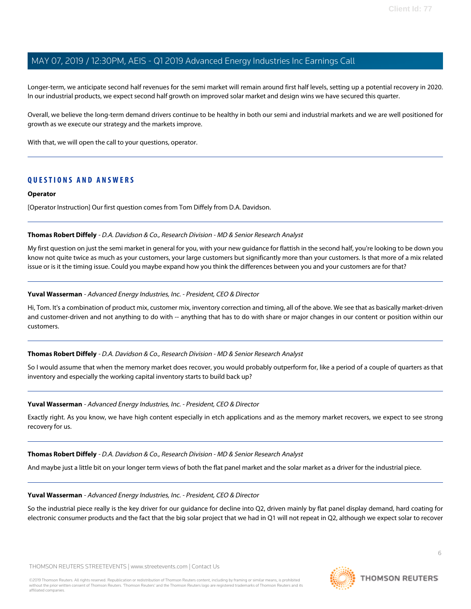Longer-term, we anticipate second half revenues for the semi market will remain around first half levels, setting up a potential recovery in 2020. In our industrial products, we expect second half growth on improved solar market and design wins we have secured this quarter.

Overall, we believe the long-term demand drivers continue to be healthy in both our semi and industrial markets and we are well positioned for growth as we execute our strategy and the markets improve.

With that, we will open the call to your questions, operator.

#### **QUESTIONS AND ANSWERS**

#### **Operator**

<span id="page-5-0"></span>[Operator Instruction] Our first question comes from Tom Diffely from D.A. Davidson.

#### **Thomas Robert Diffely** - D.A. Davidson & Co., Research Division - MD & Senior Research Analyst

My first question on just the semi market in general for you, with your new guidance for flattish in the second half, you're looking to be down you know not quite twice as much as your customers, your large customers but significantly more than your customers. Is that more of a mix related issue or is it the timing issue. Could you maybe expand how you think the differences between you and your customers are for that?

#### **Yuval Wasserman** - Advanced Energy Industries, Inc. - President, CEO & Director

Hi, Tom. It's a combination of product mix, customer mix, inventory correction and timing, all of the above. We see that as basically market-driven and customer-driven and not anything to do with -- anything that has to do with share or major changes in our content or position within our customers.

#### **Thomas Robert Diffely** - D.A. Davidson & Co., Research Division - MD & Senior Research Analyst

So I would assume that when the memory market does recover, you would probably outperform for, like a period of a couple of quarters as that inventory and especially the working capital inventory starts to build back up?

#### **Yuval Wasserman** - Advanced Energy Industries, Inc. - President, CEO & Director

Exactly right. As you know, we have high content especially in etch applications and as the memory market recovers, we expect to see strong recovery for us.

#### **Thomas Robert Diffely** - D.A. Davidson & Co., Research Division - MD & Senior Research Analyst

And maybe just a little bit on your longer term views of both the flat panel market and the solar market as a driver for the industrial piece.

#### **Yuval Wasserman** - Advanced Energy Industries, Inc. - President, CEO & Director

So the industrial piece really is the key driver for our guidance for decline into Q2, driven mainly by flat panel display demand, hard coating for electronic consumer products and the fact that the big solar project that we had in Q1 will not repeat in Q2, although we expect solar to recover

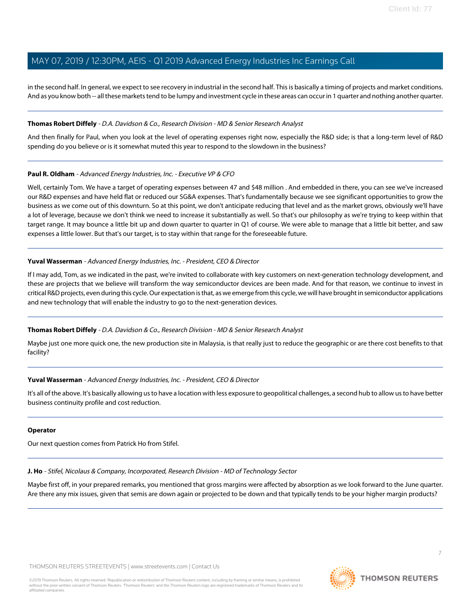in the second half. In general, we expect to see recovery in industrial in the second half. This is basically a timing of projects and market conditions. And as you know both -- all these markets tend to be lumpy and investment cycle in these areas can occur in 1 quarter and nothing another quarter.

#### **Thomas Robert Diffely** - D.A. Davidson & Co., Research Division - MD & Senior Research Analyst

And then finally for Paul, when you look at the level of operating expenses right now, especially the R&D side; is that a long-term level of R&D spending do you believe or is it somewhat muted this year to respond to the slowdown in the business?

#### **Paul R. Oldham** - Advanced Energy Industries, Inc. - Executive VP & CFO

Well, certainly Tom. We have a target of operating expenses between 47 and \$48 million . And embedded in there, you can see we've increased our R&D expenses and have held flat or reduced our SG&A expenses. That's fundamentally because we see significant opportunities to grow the business as we come out of this downturn. So at this point, we don't anticipate reducing that level and as the market grows, obviously we'll have a lot of leverage, because we don't think we need to increase it substantially as well. So that's our philosophy as we're trying to keep within that target range. It may bounce a little bit up and down quarter to quarter in Q1 of course. We were able to manage that a little bit better, and saw expenses a little lower. But that's our target, is to stay within that range for the foreseeable future.

#### **Yuval Wasserman** - Advanced Energy Industries, Inc. - President, CEO & Director

If I may add, Tom, as we indicated in the past, we're invited to collaborate with key customers on next-generation technology development, and these are projects that we believe will transform the way semiconductor devices are been made. And for that reason, we continue to invest in critical R&D projects, even during this cycle. Our expectation is that, as we emerge from this cycle, we will have brought in semiconductor applications and new technology that will enable the industry to go to the next-generation devices.

#### **Thomas Robert Diffely** - D.A. Davidson & Co., Research Division - MD & Senior Research Analyst

Maybe just one more quick one, the new production site in Malaysia, is that really just to reduce the geographic or are there cost benefits to that facility?

#### **Yuval Wasserman** - Advanced Energy Industries, Inc. - President, CEO & Director

It's all of the above. It's basically allowing us to have a location with less exposure to geopolitical challenges, a second hub to allow us to have better business continuity profile and cost reduction.

#### <span id="page-6-0"></span>**Operator**

Our next question comes from Patrick Ho from Stifel.

**J. Ho** - Stifel, Nicolaus & Company, Incorporated, Research Division - MD of Technology Sector

Maybe first off, in your prepared remarks, you mentioned that gross margins were affected by absorption as we look forward to the June quarter. Are there any mix issues, given that semis are down again or projected to be down and that typically tends to be your higher margin products?

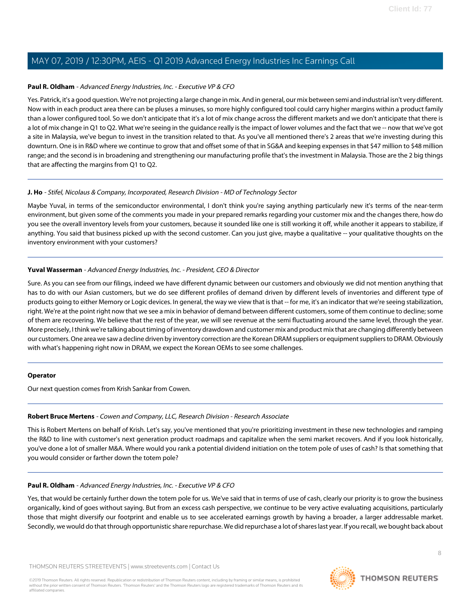#### **Paul R. Oldham** - Advanced Energy Industries, Inc. - Executive VP & CFO

Yes. Patrick, it's a good question. We're not projecting a large change in mix. And in general, our mix between semi and industrial isn't very different. Now with in each product area there can be pluses a minuses, so more highly configured tool could carry higher margins within a product family than a lower configured tool. So we don't anticipate that it's a lot of mix change across the different markets and we don't anticipate that there is a lot of mix change in Q1 to Q2. What we're seeing in the guidance really is the impact of lower volumes and the fact that we -- now that we've got a site in Malaysia, we've begun to invest in the transition related to that. As you've all mentioned there's 2 areas that we're investing during this downturn. One is in R&D where we continue to grow that and offset some of that in SG&A and keeping expenses in that \$47 million to \$48 million range; and the second is in broadening and strengthening our manufacturing profile that's the investment in Malaysia. Those are the 2 big things that are affecting the margins from Q1 to Q2.

#### **J. Ho** - Stifel, Nicolaus & Company, Incorporated, Research Division - MD of Technology Sector

Maybe Yuval, in terms of the semiconductor environmental, I don't think you're saying anything particularly new it's terms of the near-term environment, but given some of the comments you made in your prepared remarks regarding your customer mix and the changes there, how do you see the overall inventory levels from your customers, because it sounded like one is still working it off, while another it appears to stabilize, if anything. You said that business picked up with the second customer. Can you just give, maybe a qualitative -- your qualitative thoughts on the inventory environment with your customers?

#### **Yuval Wasserman** - Advanced Energy Industries, Inc. - President, CEO & Director

Sure. As you can see from our filings, indeed we have different dynamic between our customers and obviously we did not mention anything that has to do with our Asian customers, but we do see different profiles of demand driven by different levels of inventories and different type of products going to either Memory or Logic devices. In general, the way we view that is that -- for me, it's an indicator that we're seeing stabilization, right. We're at the point right now that we see a mix in behavior of demand between different customers, some of them continue to decline; some of them are recovering. We believe that the rest of the year, we will see revenue at the semi fluctuating around the same level, through the year. More precisely, I think we're talking about timing of inventory drawdown and customer mix and product mix that are changing differently between our customers. One area we saw a decline driven by inventory correction are the Korean DRAM suppliers or equipment suppliers to DRAM. Obviously with what's happening right now in DRAM, we expect the Korean OEMs to see some challenges.

#### <span id="page-7-0"></span>**Operator**

Our next question comes from Krish Sankar from Cowen.

#### **Robert Bruce Mertens** - Cowen and Company, LLC, Research Division - Research Associate

This is Robert Mertens on behalf of Krish. Let's say, you've mentioned that you're prioritizing investment in these new technologies and ramping the R&D to line with customer's next generation product roadmaps and capitalize when the semi market recovers. And if you look historically, you've done a lot of smaller M&A. Where would you rank a potential dividend initiation on the totem pole of uses of cash? Is that something that you would consider or farther down the totem pole?

#### **Paul R. Oldham** - Advanced Energy Industries, Inc. - Executive VP & CFO

Yes, that would be certainly further down the totem pole for us. We've said that in terms of use of cash, clearly our priority is to grow the business organically, kind of goes without saying. But from an excess cash perspective, we continue to be very active evaluating acquisitions, particularly those that might diversify our footprint and enable us to see accelerated earnings growth by having a broader, a larger addressable market. Secondly, we would do that through opportunistic share repurchase. We did repurchase a lot of shares last year. If you recall, we bought back about

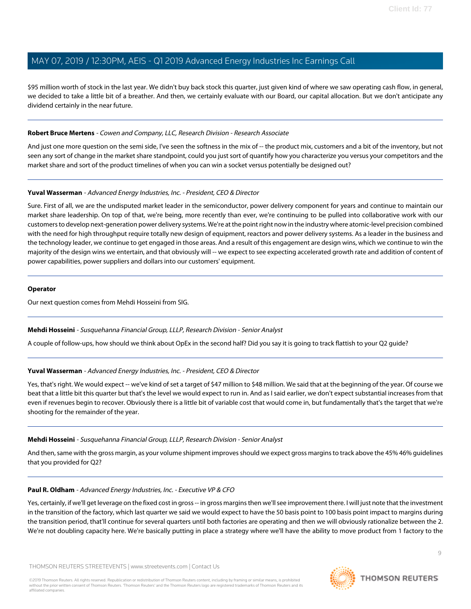\$95 million worth of stock in the last year. We didn't buy back stock this quarter, just given kind of where we saw operating cash flow, in general, we decided to take a little bit of a breather. And then, we certainly evaluate with our Board, our capital allocation. But we don't anticipate any dividend certainly in the near future.

#### **Robert Bruce Mertens** - Cowen and Company, LLC, Research Division - Research Associate

And just one more question on the semi side, I've seen the softness in the mix of -- the product mix, customers and a bit of the inventory, but not seen any sort of change in the market share standpoint, could you just sort of quantify how you characterize you versus your competitors and the market share and sort of the product timelines of when you can win a socket versus potentially be designed out?

#### **Yuval Wasserman** - Advanced Energy Industries, Inc. - President, CEO & Director

Sure. First of all, we are the undisputed market leader in the semiconductor, power delivery component for years and continue to maintain our market share leadership. On top of that, we're being, more recently than ever, we're continuing to be pulled into collaborative work with our customers to develop next-generation power delivery systems. We're at the point right now in the industry where atomic-level precision combined with the need for high throughput require totally new design of equipment, reactors and power delivery systems. As a leader in the business and the technology leader, we continue to get engaged in those areas. And a result of this engagement are design wins, which we continue to win the majority of the design wins we entertain, and that obviously will -- we expect to see expecting accelerated growth rate and addition of content of power capabilities, power suppliers and dollars into our customers' equipment.

#### **Operator**

<span id="page-8-0"></span>Our next question comes from Mehdi Hosseini from SIG.

#### **Mehdi Hosseini** - Susquehanna Financial Group, LLLP, Research Division - Senior Analyst

A couple of follow-ups, how should we think about OpEx in the second half? Did you say it is going to track flattish to your Q2 guide?

#### **Yuval Wasserman** - Advanced Energy Industries, Inc. - President, CEO & Director

Yes, that's right. We would expect -- we've kind of set a target of \$47 million to \$48 million. We said that at the beginning of the year. Of course we beat that a little bit this quarter but that's the level we would expect to run in. And as I said earlier, we don't expect substantial increases from that even if revenues begin to recover. Obviously there is a little bit of variable cost that would come in, but fundamentally that's the target that we're shooting for the remainder of the year.

#### **Mehdi Hosseini** - Susquehanna Financial Group, LLLP, Research Division - Senior Analyst

And then, same with the gross margin, as your volume shipment improves should we expect gross margins to track above the 45% 46% guidelines that you provided for Q2?

#### **Paul R. Oldham** - Advanced Energy Industries, Inc. - Executive VP & CFO

Yes, certainly, if we'll get leverage on the fixed cost in gross -- in gross margins then we'll see improvement there. I will just note that the investment in the transition of the factory, which last quarter we said we would expect to have the 50 basis point to 100 basis point impact to margins during the transition period, that'll continue for several quarters until both factories are operating and then we will obviously rationalize between the 2. We're not doubling capacity here. We're basically putting in place a strategy where we'll have the ability to move product from 1 factory to the

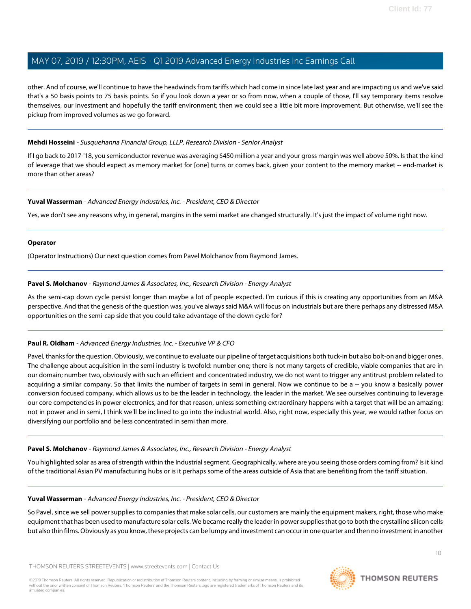other. And of course, we'll continue to have the headwinds from tariffs which had come in since late last year and are impacting us and we've said that's a 50 basis points to 75 basis points. So if you look down a year or so from now, when a couple of those, I'll say temporary items resolve themselves, our investment and hopefully the tariff environment; then we could see a little bit more improvement. But otherwise, we'll see the pickup from improved volumes as we go forward.

#### **Mehdi Hosseini** - Susquehanna Financial Group, LLLP, Research Division - Senior Analyst

If I go back to 2017-'18, you semiconductor revenue was averaging \$450 million a year and your gross margin was well above 50%. Is that the kind of leverage that we should expect as memory market for [one] turns or comes back, given your content to the memory market -- end-market is more than other areas?

#### **Yuval Wasserman** - Advanced Energy Industries, Inc. - President, CEO & Director

Yes, we don't see any reasons why, in general, margins in the semi market are changed structurally. It's just the impact of volume right now.

#### **Operator**

<span id="page-9-0"></span>(Operator Instructions) Our next question comes from Pavel Molchanov from Raymond James.

#### **Pavel S. Molchanov** - Raymond James & Associates, Inc., Research Division - Energy Analyst

As the semi-cap down cycle persist longer than maybe a lot of people expected. I'm curious if this is creating any opportunities from an M&A perspective. And that the genesis of the question was, you've always said M&A will focus on industrials but are there perhaps any distressed M&A opportunities on the semi-cap side that you could take advantage of the down cycle for?

#### **Paul R. Oldham** - Advanced Energy Industries, Inc. - Executive VP & CFO

Pavel, thanks for the question. Obviously, we continue to evaluate our pipeline of target acquisitions both tuck-in but also bolt-on and bigger ones. The challenge about acquisition in the semi industry is twofold: number one; there is not many targets of credible, viable companies that are in our domain; number two, obviously with such an efficient and concentrated industry, we do not want to trigger any antitrust problem related to acquiring a similar company. So that limits the number of targets in semi in general. Now we continue to be a -- you know a basically power conversion focused company, which allows us to be the leader in technology, the leader in the market. We see ourselves continuing to leverage our core competencies in power electronics, and for that reason, unless something extraordinary happens with a target that will be an amazing; not in power and in semi, I think we'll be inclined to go into the industrial world. Also, right now, especially this year, we would rather focus on diversifying our portfolio and be less concentrated in semi than more.

#### **Pavel S. Molchanov** - Raymond James & Associates, Inc., Research Division - Energy Analyst

You highlighted solar as area of strength within the Industrial segment. Geographically, where are you seeing those orders coming from? Is it kind of the traditional Asian PV manufacturing hubs or is it perhaps some of the areas outside of Asia that are benefiting from the tariff situation.

#### **Yuval Wasserman** - Advanced Energy Industries, Inc. - President, CEO & Director

So Pavel, since we sell power supplies to companies that make solar cells, our customers are mainly the equipment makers, right, those who make equipment that has been used to manufacture solar cells. We became really the leader in power supplies that go to both the crystalline silicon cells but also thin films. Obviously as you know, these projects can be lumpy and investment can occur in one quarter and then no investment in another